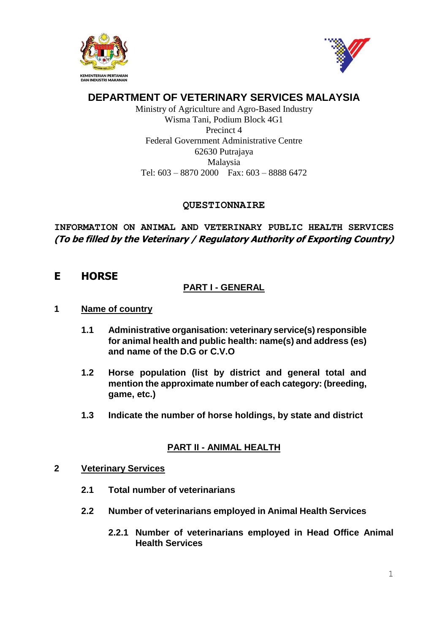



# **DEPARTMENT OF VETERINARY SERVICES MALAYSIA**

Ministry of Agriculture and Agro-Based Industry Wisma Tani, Podium Block 4G1 Precinct 4 Federal Government Administrative Centre 62630 Putrajaya Malaysia Tel: 603 – 8870 2000 Fax: 603 – 8888 6472

## **QUESTIONNAIRE**

**INFORMATION ON ANIMAL AND VETERINARY PUBLIC HEALTH SERVICES (To be filled by the Veterinary / Regulatory Authority of Exporting Country)**

# **E HORSE**

## **PART I - GENERAL**

## **1 Name of country**

- **1.1 Administrative organisation: veterinary service(s) responsible for animal health and public health: name(s) and address (es) and name of the D.G or C.V.O**
- **1.2 Horse population (list by district and general total and mention the approximate number of each category: (breeding, game, etc.)**
- **1.3 Indicate the number of horse holdings, by state and district**

## **PART II - ANIMAL HEALTH**

#### **2 Veterinary Services**

- **2.1 Total number of veterinarians**
- **2.2 Number of veterinarians employed in Animal Health Services**
	- **2.2.1 Number of veterinarians employed in Head Office Animal Health Services**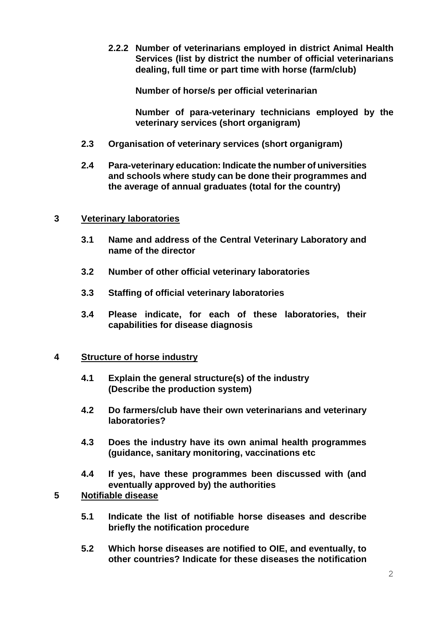**2.2.2 Number of veterinarians employed in district Animal Health Services (list by district the number of official veterinarians dealing, full time or part time with horse (farm/club)**

**Number of horse/s per official veterinarian**

**Number of para-veterinary technicians employed by the veterinary services (short organigram)**

- **2.3 Organisation of veterinary services (short organigram)**
- **2.4 Para-veterinary education: Indicate the number of universities and schools where study can be done their programmes and the average of annual graduates (total for the country)**

## **3 Veterinary laboratories**

- **3.1 Name and address of the Central Veterinary Laboratory and name of the director**
- **3.2 Number of other official veterinary laboratories**
- **3.3 Staffing of official veterinary laboratories**
- **3.4 Please indicate, for each of these laboratories, their capabilities for disease diagnosis**

#### **4 Structure of horse industry**

- **4.1 Explain the general structure(s) of the industry (Describe the production system)**
- **4.2 Do farmers/club have their own veterinarians and veterinary laboratories?**
- **4.3 Does the industry have its own animal health programmes (guidance, sanitary monitoring, vaccinations etc**
- **4.4 If yes, have these programmes been discussed with (and eventually approved by) the authorities**

## **5 Notifiable disease**

- **5.1 Indicate the list of notifiable horse diseases and describe briefly the notification procedure**
- **5.2 Which horse diseases are notified to OIE, and eventually, to other countries? Indicate for these diseases the notification**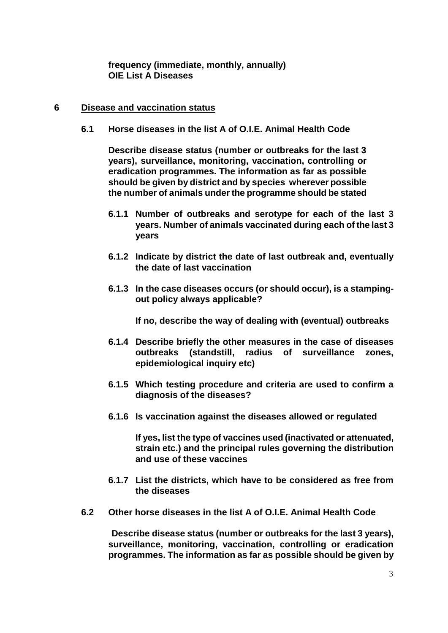**frequency (immediate, monthly, annually) OIE List A Diseases**

#### **6 Disease and vaccination status**

**6.1 Horse diseases in the list A of O.I.E. Animal Health Code**

**Describe disease status (number or outbreaks for the last 3 years), surveillance, monitoring, vaccination, controlling or eradication programmes. The information as far as possible should be given by district and by species wherever possible the number of animals under the programme should be stated**

- **6.1.1 Number of outbreaks and serotype for each of the last 3 years. Number of animals vaccinated during each of the last 3 years**
- **6.1.2 Indicate by district the date of last outbreak and, eventually the date of last vaccination**
- **6.1.3 In the case diseases occurs (or should occur), is a stampingout policy always applicable?**

**If no, describe the way of dealing with (eventual) outbreaks**

- **6.1.4 Describe briefly the other measures in the case of diseases outbreaks (standstill, radius of surveillance zones, epidemiological inquiry etc)**
- **6.1.5 Which testing procedure and criteria are used to confirm a diagnosis of the diseases?**
- **6.1.6 Is vaccination against the diseases allowed or regulated**

**If yes, list the type of vaccines used (inactivated or attenuated, strain etc.) and the principal rules governing the distribution and use of these vaccines**

- **6.1.7 List the districts, which have to be considered as free from the diseases**
- **6.2 Other horse diseases in the list A of O.I.E. Animal Health Code**

 **Describe disease status (number or outbreaks for the last 3 years), surveillance, monitoring, vaccination, controlling or eradication programmes. The information as far as possible should be given by**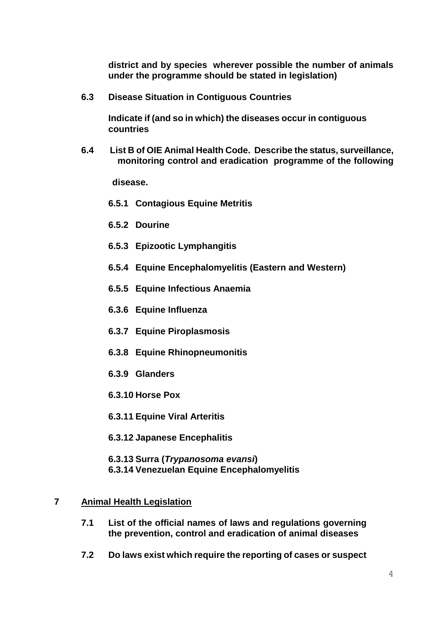**district and by species wherever possible the number of animals under the programme should be stated in legislation)**

**6.3 Disease Situation in Contiguous Countries**

**Indicate if (and so in which) the diseases occur in contiguous countries**

**6.4 List B of OIE Animal Health Code. Describe the status, surveillance, monitoring control and eradication programme of the following** 

 **disease.**

- **6.5.1 Contagious Equine Metritis**
- **6.5.2 Dourine**
- **6.5.3 Epizootic Lymphangitis**
- **6.5.4 Equine Encephalomyelitis (Eastern and Western)**
- **6.5.5 Equine Infectious Anaemia**
- **6.3.6 Equine Influenza**
- **6.3.7 Equine Piroplasmosis**
- **6.3.8 Equine Rhinopneumonitis**
- **6.3.9 Glanders**
- **6.3.10 Horse Pox**

**6.3.11 Equine Viral Arteritis**

**6.3.12 Japanese Encephalitis**

**6.3.13 Surra (***Trypanosoma evansi***) 6.3.14 Venezuelan Equine Encephalomyelitis**

#### **7 Animal Health Legislation**

- **7.1 List of the official names of laws and regulations governing the prevention, control and eradication of animal diseases**
- **7.2 Do laws exist which require the reporting of cases or suspect**